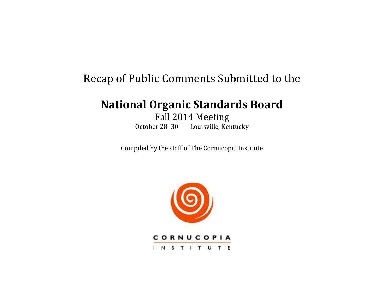# Recap of Public Comments Submitted to the

# **National Organic Standards Board**

Fall 2014 Meeting October 28–30 Louisville, Kentucky

Compiled by the staff of The Cornucopia Institute



INSTITUTE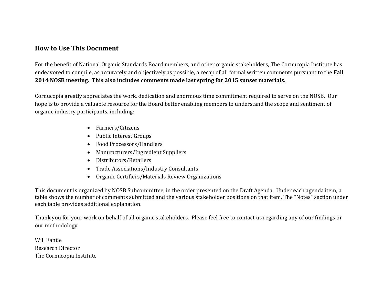### **How to Use This Document**

For the benefit of National Organic Standards Board members, and other organic stakeholders, The Cornucopia Institute has endeavored to compile, as accurately and objectively as possible, a recap of all formal written comments pursuant to the **Fall 2014 NOSB meeting. This also includes comments made last spring for 2015 sunset materials.**

Cornucopia greatly appreciates the work, dedication and enormous time commitment required to serve on the NOSB. Our hope is to provide a valuable resource for the Board better enabling members to understand the scope and sentiment of organic industry participants, including:

- Farmers/Citizens
- Public Interest Groups
- Food Processors/Handlers
- Manufacturers/Ingredient Suppliers
- Distributors/Retailers
- Trade Associations/Industry Consultants
- Organic Certifiers/Materials Review Organizations

This document is organized by NOSB Subcommittee, in the order presented on the Draft Agenda. Under each agenda item, a table shows the number of comments submitted and the various stakeholder positions on that item. The "Notes" section under each table provides additional explanation.

Thank you for your work on behalf of all organic stakeholders. Please feel free to contact us regarding any of our findings or our methodology.

Will Fantle Research Director The Cornucopia Institute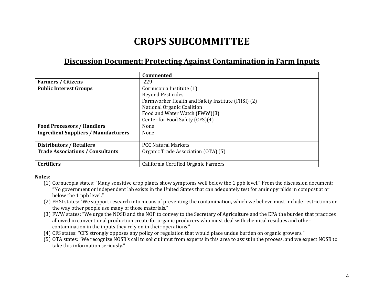# **CROPS SUBCOMMITTEE**

# **Discussion Document: Protecting Against Contamination in Farm Inputs**

|                                             | <b>Commented</b>                                  |
|---------------------------------------------|---------------------------------------------------|
| <b>Farmers / Citizens</b>                   | 229                                               |
| <b>Public Interest Groups</b>               | Cornucopia Institute (1)                          |
|                                             | <b>Beyond Pesticides</b>                          |
|                                             | Farmworker Health and Safety Institute (FHSI) (2) |
|                                             | National Organic Coalition                        |
|                                             | Food and Water Watch (FWW)(3)                     |
|                                             | Center for Food Safety (CFS)(4)                   |
| <b>Food Processors / Handlers</b>           | None                                              |
| <b>Ingredient Suppliers / Manufacturers</b> | None                                              |
|                                             |                                                   |
| <b>Distributors / Retailers</b>             | <b>PCC Natural Markets</b>                        |
| <b>Trade Associations / Consultants</b>     | Organic Trade Association (OTA) (5)               |
|                                             |                                                   |
| <b>Certifiers</b>                           | California Certified Organic Farmers              |

- (1) Cornucopia states: "Many sensitive crop plants show symptoms well below the 1 ppb level." From the discussion document: "No government or independent lab exists in the United States that can adequately test for aminopyralids in compost at or below the 1 ppb level."
- (2) FHSI states: "We support research into means of preventing the contamination, which we believe must include restrictions on the way other people use many of those materials."
- (3) FWW states: "We urge the NOSB and the NOP to convey to the Secretary of Agriculture and the EPA the burden that practices allowed in conventional production create for organic producers who must deal with chemical residues and other contamination in the inputs they rely on in their operations."
- (4) CFS states: "CFS strongly opposes any policy or regulation that would place undue burden on organic growers."
- (5) OTA states: "We recognize NOSB's call to solicit input from experts in this area to assist in the process, and we expect NOSB to take this information seriously."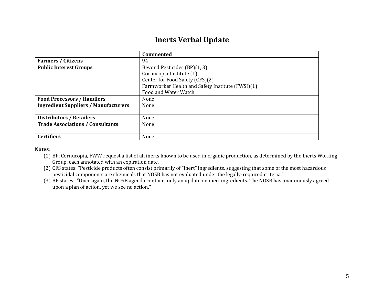# **Inerts Verbal Update**

|                                             | Commented                                        |  |  |
|---------------------------------------------|--------------------------------------------------|--|--|
| <b>Farmers / Citizens</b>                   | 94                                               |  |  |
| <b>Public Interest Groups</b>               | Beyond Pesticides (BP)(1, 3)                     |  |  |
|                                             | Cornucopia Institute (1)                         |  |  |
|                                             | Center for Food Safety (CFS)(2)                  |  |  |
|                                             | Farmworker Health and Safety Institute (FWSI)(1) |  |  |
|                                             | Food and Water Watch                             |  |  |
| <b>Food Processors / Handlers</b>           | None                                             |  |  |
| <b>Ingredient Suppliers / Manufacturers</b> | None                                             |  |  |
|                                             |                                                  |  |  |
| <b>Distributors / Retailers</b>             | None                                             |  |  |
| <b>Trade Associations / Consultants</b>     | None                                             |  |  |
|                                             |                                                  |  |  |
| <b>Certifiers</b>                           | None                                             |  |  |

- (1) BP, Cornucopia, FWW request a list of all inerts known to be used in organic production, as determined by the Inerts Working Group, each annotated with an expiration date.
- (2) CFS states: "Pesticide products often consist primarily of "inert" ingredients, suggesting that some of the most hazardous pesticidal components are chemicals that NOSB has not evaluated under the legally-required criteria."
- (3) BP states: "Once again, the NOSB agenda contains only an update on inert ingredients. The NOSB has unanimously agreed upon a plan of action, yet we see no action."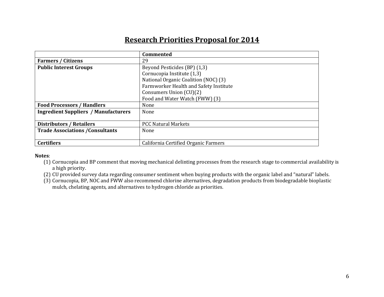# **Research Priorities Proposal for 2014**

|                                             | Commented                              |
|---------------------------------------------|----------------------------------------|
| <b>Farmers / Citizens</b>                   | 29                                     |
| <b>Public Interest Groups</b>               | Beyond Pesticides (BP) (1,3)           |
|                                             | Cornucopia Institute (1,3)             |
|                                             | National Organic Coalition (NOC) (3)   |
|                                             | Farmworker Health and Safety Institute |
|                                             | Consumers Union (CU)(2)                |
|                                             | Food and Water Watch (FWW) (3)         |
| <b>Food Processors / Handlers</b>           | None                                   |
| <b>Ingredient Suppliers / Manufacturers</b> | None                                   |
|                                             |                                        |
| <b>Distributors / Retailers</b>             | <b>PCC Natural Markets</b>             |
| <b>Trade Associations / Consultants</b>     | None                                   |
|                                             |                                        |
| <b>Certifiers</b>                           | California Certified Organic Farmers   |

- (1) Cornucopia and BP comment that moving mechanical delinting processes from the research stage to commercial availability is a high priority.
- (2) CU provided survey data regarding consumer sentiment when buying products with the organic label and "natural" labels.
- (3) Cornucopia, BP, NOC and FWW also recommend chlorine alternatives, degradation products from biodegradable bioplastic mulch, chelating agents, and alternatives to hydrogen chloride as priorities.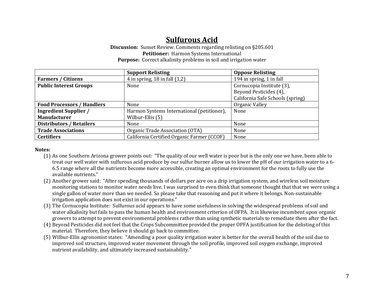# **Sulfurous Acid**

**Discussion:** Sunset Review. Comments regarding relisting on §205.601 **Petitioner:** Harmon Systems International **Purpose:** Correct alkalinity problems in soil and irrigation water

|                                   | <b>Support Relisting</b>                   | <b>Oppose Relisting</b>          |
|-----------------------------------|--------------------------------------------|----------------------------------|
| <b>Farmers / Citizens</b>         | 4 in spring, $18$ in fall $(1,2)$          | 194 in spring, 1 in fall         |
| <b>Public Interest Groups</b>     | None                                       | Cornucopia Institute (3),        |
|                                   |                                            | Beyond Pesticides (4),           |
|                                   |                                            | California Safe Schools (spring) |
| <b>Food Processors / Handlers</b> | None                                       | Organic Valley                   |
| <b>Ingredient Supplier /</b>      | Harmon Systems International (petitioner), | None                             |
| <b>Manufacturer</b>               | Wilbur-Ellis (5)                           |                                  |
| <b>Distributors / Retailers</b>   | None                                       | None                             |
| <b>Trade Associations</b>         | Organic Trade Association (OTA)            | None                             |
| <b>Certifiers</b>                 | California Certified Organic Farmer (CCOF) | None                             |

- (1) As one Southern Arizona grower points out: "The quality of our well water is poor but is the only one we have, been able to treat our well water with sulfurous acid produce by our sulfur burner allow us to lower the pH of our irrigation water to a 6- 6.5 range where all the nutrients become more accessible, creating an optimal environment for the roots to fully use the available nutrients."
- (2) Another grower said: "After spending thousands of dollars per acre on a drip irrigation system, and wireless soil moisture monitoring stations to monitor water needs live, I was surprised to even think that someone thought that that we were using a single gallon of water more than we needed. So please take that reasoning and put it where it belongs. Non-sustainable irrigation application does not exist in our operations."
- (3) The Cornucopia Institute: Sulfurous acid appears to have some usefulness in solving the widespread problems of soil and water alkalinity but fails to pass the human health and environment criterion of OFPA. It is likewise incumbent upon organic growers to attempt to prevent environmental problems rather than using synthetic materials to remediate them after the fact.
- (4) Beyond Pesticides did not feel that the Crops Subcommittee provided the proper OPFA justification for the delisting of this material. Therefore, they believe it should go back to committee.
- (5) Wilbur-Ellis agronomist states: "Amending a poor quality irrigation water is better for the overall health of the soil due to improved soil structure, improved water movement through the soil profile, improved soil oxygen exchange, improved nutrient availability, and ultimately increased sustainability."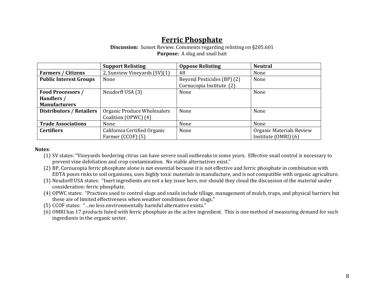## **Ferric Phosphate**

#### **Discussion:** Sunset Review. Comments regarding relisting on §205.601 **Purpose:** A slug and snail bait

|                                 | <b>Support Relisting</b>                            | <b>Oppose Relisting</b>                                | <b>Neutral</b>                                       |
|---------------------------------|-----------------------------------------------------|--------------------------------------------------------|------------------------------------------------------|
| <b>Farmers / Citizens</b>       | 2, Sunview Vineyards (SV)(1)                        | 48                                                     | None                                                 |
| <b>Public Interest Groups</b>   | None                                                | Beyond Pesticides (BP) (2)<br>Cornucopia Institute (2) | None                                                 |
| <b>Food Processors /</b>        | Neudorff USA (3)                                    | None                                                   | None                                                 |
| Handlers /                      |                                                     |                                                        |                                                      |
| <b>Manufacturers</b>            |                                                     |                                                        |                                                      |
| <b>Distributors / Retailers</b> | Organic Produce Wholesalers<br>Coalition (OPWC) (4) | None                                                   | None                                                 |
| <b>Trade Associations</b>       | None                                                | None                                                   | None                                                 |
| <b>Certifiers</b>               | California Certified Organic<br>Farmer (CCOF) (5)   | None                                                   | Organic Materials Review<br>Institute $(OMRI)$ $(6)$ |

- (1) SV states: "Vineyards bordering citrus can have severe snail outbreaks in some years. Effective snail control is necessary to prevent vine defoliation and crop contamination. No viable alternatives exist."
- (2) BP, Cornucopia ferric phosphate alone is not essential because it is not effective and ferric phosphate in combination with EDTA poses risks to soil organisms, uses highly toxic materials in manufacture, and is not compatible with organic agriculture.
- (3) Neudorff USA states: "Inert ingredients are not a key issue here, nor should they cloud the discussion of the material under consideration: ferric phosphate.
- (4) OPWC states: "Practices used to control slugs and snails include tillage, management of mulch, traps, and physical barriers but these are of limited effectiveness when weather conditions favor slugs."
- (5) CCOF states: "…no less environmentally harmful alternative exists."
- (6) OMRI has 17 products listed with ferric phosphate as the active ingredient. This is one method of measuring demand for such ingredients in the organic sector.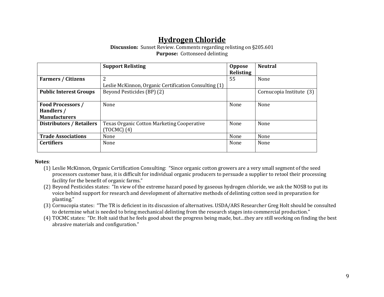# **Hydrogen Chloride**

#### **Discussion:** Sunset Review. Comments regarding relisting on §205.601 **Purpose:** Cottonseed delinting

|                                 | <b>Support Relisting</b>                              | <b>Oppose</b><br>Relisting | <b>Neutral</b>           |
|---------------------------------|-------------------------------------------------------|----------------------------|--------------------------|
| <b>Farmers / Citizens</b>       | 2                                                     | 55                         | None                     |
|                                 | Leslie McKinnon, Organic Certification Consulting (1) |                            |                          |
| <b>Public Interest Groups</b>   | Beyond Pesticides (BP) (2)                            |                            | Cornucopia Institute (3) |
| <b>Food Processors /</b>        | None                                                  | None                       | None                     |
| Handlers /                      |                                                       |                            |                          |
| <b>Manufacturers</b>            |                                                       |                            |                          |
| <b>Distributors / Retailers</b> | <b>Texas Organic Cotton Marketing Cooperative</b>     | None                       | None                     |
|                                 | $(TOCMC)$ (4)                                         |                            |                          |
| <b>Trade Associations</b>       | None                                                  | None                       | None                     |
| <b>Certifiers</b>               | None                                                  | None                       | None                     |
|                                 |                                                       |                            |                          |

- (1) Leslie McKinnon, Organic Certification Consulting: "Since organic cotton growers are a very small segment of the seed processors customer base, it is difficult for individual organic producers to persuade a supplier to retool their processing facility for the benefit of organic farms."
- (2) Beyond Pesticides states: "In view of the extreme hazard posed by gaseous hydrogen chloride, we ask the NOSB to put its voice behind support for research and development of alternative methods of delinting cotton seed in preparation for planting."
- (3) Cornucopia states: "The TR is deficient in its discussion of alternatives. USDA/ARS Researcher Greg Holt should be consulted to determine what is needed to bring mechanical delinting from the research stages into commercial production."
- (4) TOCMC states: "Dr. Holt said that he feels good about the progress being made, but…they are still working on finding the best abrasive materials and configuration."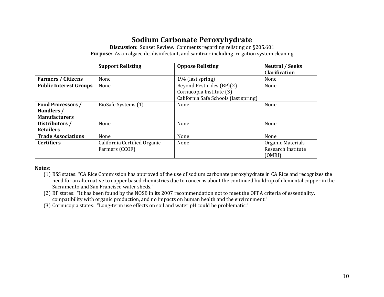# **Sodium Carbonate Peroxyhydrate**

**Discussion:** Sunset Review. Comments regarding relisting on §205.601 **Purpose:** As an algaecide, disinfectant, and sanitizer including irrigation system cleaning

|                               | <b>Support Relisting</b>     | <b>Oppose Relisting</b>               | <b>Neutral / Seeks</b> |
|-------------------------------|------------------------------|---------------------------------------|------------------------|
|                               |                              |                                       | <b>Clarification</b>   |
| <b>Farmers / Citizens</b>     | None                         | 194 (last spring)                     | None                   |
| <b>Public Interest Groups</b> | None                         | Beyond Pesticides (BP)(2)             | None                   |
|                               |                              | Cornucopia Institute (3)              |                        |
|                               |                              | California Safe Schools (last spring) |                        |
| Food Processors /             | BioSafe Systems (1)          | None                                  | None                   |
| Handlers /                    |                              |                                       |                        |
| <b>Manufacturers</b>          |                              |                                       |                        |
| Distributors /                | None                         | None                                  | None                   |
| <b>Retailers</b>              |                              |                                       |                        |
| <b>Trade Associations</b>     | None                         | None                                  | None                   |
| <b>Certifiers</b>             | California Certified Organic | None                                  | Organic Materials      |
|                               | Farmers (CCOF)               |                                       | Research Institute     |
|                               |                              |                                       | (OMRI)                 |

- (1) BSS states: "CA Rice Commission has approved of the use of sodium carbonate peroxyhydrate in CA Rice and recognizes the need for an alternative to copper based chemistries due to concerns about the continued build-up of elemental copper in the Sacramento and San Francisco water sheds."
- (2) BP states: "It has been found by the NOSB in its 2007 recommendation not to meet the OFPA criteria of essentiality, compatibility with organic production, and no impacts on human health and the environment."
- (3) Cornucopia states: "Long-term use effects on soil and water pH could be problematic."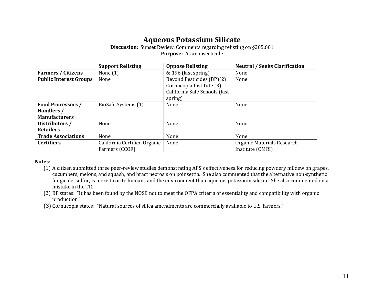## **Aqueous Potassium Silicate**

**Discussion:** Sunset Review. Comments regarding relisting on §205.601 **Purpose:** As an insecticide

|                               | <b>Support Relisting</b>     | <b>Oppose Relisting</b>       | <b>Neutral / Seeks Clarification</b> |
|-------------------------------|------------------------------|-------------------------------|--------------------------------------|
| <b>Farmers / Citizens</b>     | None $(1)$                   | $6$ ; 196 (last spring)       | None                                 |
| <b>Public Interest Groups</b> | None                         | Beyond Pesticides (BP)(2)     | None                                 |
|                               |                              | Cornucopia Institute (3)      |                                      |
|                               |                              | California Safe Schools (last |                                      |
|                               |                              | spring)                       |                                      |
| <b>Food Processors /</b>      | BioSafe Systems (1)          | None                          | None                                 |
| Handlers /                    |                              |                               |                                      |
| <b>Manufacturers</b>          |                              |                               |                                      |
| Distributors /                | None                         | None                          | None                                 |
| <b>Retailers</b>              |                              |                               |                                      |
| <b>Trade Associations</b>     | None                         | None                          | None                                 |
| <b>Certifiers</b>             | California Certified Organic | None                          | Organic Materials Research           |
|                               | Farmers (CCOF)               |                               | Institute (OMRI)                     |

- (1) A citizen submitted three peer-review studies demonstrating APS's effectiveness for reducing powdery mildew on grapes, cucumbers, melons, and squash, and bract necrosis on poinsettia. She also commented that the alternative non-synthetic fungicide, sulfur, is more toxic to humans and the environment than aqueous potassium silicate. She also commented on a mistake in the TR.
- (2) BP states: "It has been found by the NOSB not to meet the OFPA criteria of essentiality and compatibility with organic production."
- (3) Cornucopia states: "Natural sources of silica amendments are commercially available to U.S. farmers."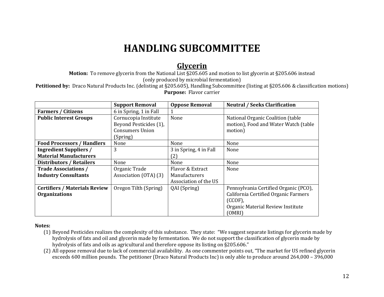# **HANDLING SUBCOMMITTEE**

### **Glycerin**

**Motion:** To remove glycerin from the National List §205.605 and motion to list glycerin at §205.606 instead (only produced by microbial fermentation)

**Petitioned by:** Draco Natural Products Inc. (delisting at §205.605), Handling Subcommittee (listing at §205.606 & classification motions) **Purpose:** Flavor carrier

|                                      | <b>Support Removal</b> | <b>Oppose Removal</b>  | <b>Neutral / Seeks Clarification</b>  |
|--------------------------------------|------------------------|------------------------|---------------------------------------|
| <b>Farmers / Citizens</b>            | 6 in Spring, 1 in Fall |                        |                                       |
| <b>Public Interest Groups</b>        | Cornucopia Institute   | None                   | National Organic Coalition (table     |
|                                      | Beyond Pesticides (1), |                        | motion), Food and Water Watch (table  |
|                                      | <b>Consumers Union</b> |                        | motion)                               |
|                                      | (Spring)               |                        |                                       |
| <b>Food Processors / Handlers</b>    | None                   | None                   | None                                  |
| <b>Ingredient Suppliers /</b>        | 3                      | 3 in Spring, 4 in Fall | None                                  |
| <b>Material Manufacturers</b>        |                        | (2)                    |                                       |
| <b>Distributors / Retailers</b>      | None                   | None                   | None                                  |
| <b>Trade Associations /</b>          | Organic Trade          | Flavor & Extract       | None                                  |
| <b>Industry Consultants</b>          | Association (OTA) (3)  | Manufacturers          |                                       |
|                                      |                        | Association of the US  |                                       |
| <b>Certifiers / Materials Review</b> | Oregon Tilth (Spring)  | QAI (Spring)           | Pennsylvania Certified Organic (PCO), |
| <b>Organizations</b>                 |                        |                        | California Certified Organic Farmers  |
|                                      |                        |                        | (CCOF)                                |
|                                      |                        |                        | Organic Material Review Institute     |
|                                      |                        |                        | (OMRI)                                |

- (1) Beyond Pesticides realizes the complexity of this substance. They state: "We suggest separate listings for glycerin made by hydrolysis of fats and oil and glycerin made by fermentation. We do not support the classification of glycerin made by hydrolysis of fats and oils as agricultural and therefore oppose its listing on §205.606."
- (2) All oppose removal due to lack of commercial availability. As one commenter points out, "The market for US refined glycerin exceeds 600 million pounds. The petitioner (Draco Natural Products Inc) is only able to produce around 264,000 – 396,000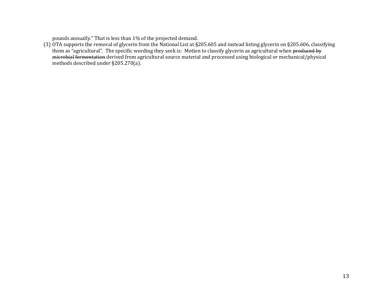pounds annually." That is less than 1% of the projected demand.

(3) OTA supports the removal of glycerin from the National List at §205.605 and instead listing glycerin on §205.606, classifying them as "agricultural". The specific wording they seek is: Motion to classify glycerin as agricultural when produced by microbial fermentation derived from agricultural source material and processed using biological or mechanical/physical methods described under §205.270(a).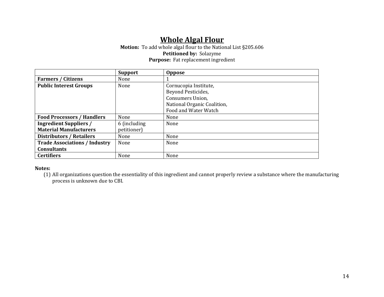# **Whole Algal Flour**

#### **Motion:** To add whole algal flour to the National List §205.606 **Petitioned by:** Solazyme **Purpose:** Fat replacement ingredient

|                                      | <b>Support</b> | <b>Oppose</b>               |
|--------------------------------------|----------------|-----------------------------|
| <b>Farmers / Citizens</b>            | None           |                             |
| <b>Public Interest Groups</b>        | None           | Cornucopia Institute,       |
|                                      |                | Beyond Pesticides,          |
|                                      |                | Consumers Union.            |
|                                      |                | National Organic Coalition, |
|                                      |                | Food and Water Watch        |
| <b>Food Processors / Handlers</b>    | None           | None                        |
| <b>Ingredient Suppliers /</b>        | 6 (including)  | None                        |
| <b>Material Manufacturers</b>        | petitioner)    |                             |
| <b>Distributors / Retailers</b>      | None           | None                        |
| <b>Trade Associations / Industry</b> | None           | None                        |
| <b>Consultants</b>                   |                |                             |
| <b>Certifiers</b>                    | None           | None                        |

#### **Notes:**

(1) All organizations question the essentiality of this ingredient and cannot properly review a substance where the manufacturing process is unknown due to CBI.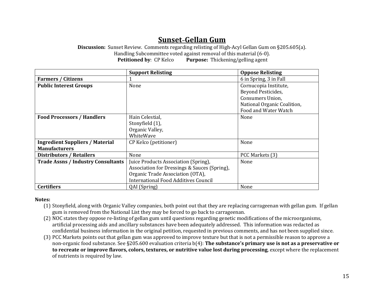# **Sunset–Gellan Gum**

**Discussion:** Sunset Review. Comments regarding relisting of High-Acyl Gellan Gum on §205.605(a). Handling Subcommittee voted against removal of this material (6-0). **Petitioned by**: CP Kelco **Purpose:** Thickening/gelling agent

|                                           | <b>Support Relisting</b>                     | <b>Oppose Relisting</b>     |
|-------------------------------------------|----------------------------------------------|-----------------------------|
| <b>Farmers / Citizens</b>                 |                                              | 6 in Spring, 3 in Fall      |
| <b>Public Interest Groups</b>             | None                                         | Cornucopia Institute,       |
|                                           |                                              | Beyond Pesticides,          |
|                                           |                                              | <b>Consumers Union,</b>     |
|                                           |                                              | National Organic Coalition, |
|                                           |                                              | Food and Water Watch        |
| <b>Food Processors / Handlers</b>         | Hain Celestial,                              | None                        |
|                                           | Stonyfield (1),                              |                             |
|                                           | Organic Valley,                              |                             |
|                                           | WhiteWave                                    |                             |
| <b>Ingredient Suppliers / Material</b>    | CP Kelco (petitioner)                        | None                        |
| <b>Manufacturers</b>                      |                                              |                             |
| <b>Distributors / Retailers</b>           | None                                         | PCC Markets (3)             |
| <b>Trade Assns / Industry Consultants</b> | Juice Products Association (Spring),         | None                        |
|                                           | Association for Dressings & Sauces (Spring), |                             |
|                                           | Organic Trade Association (OTA),             |                             |
|                                           | <b>International Food Additives Council</b>  |                             |
| <b>Certifiers</b>                         | QAI (Spring)                                 | None                        |

- (1) Stonyfield, along with Organic Valley companies, both point out that they are replacing carrageenan with gellan gum. If gellan gum is removed from the National List they may be forced to go back to carrageenan.
- (2) NOC states they oppose re-listing of gellan gum until questions regarding genetic modifications of the microorganisms, artificial processing aids and ancillary substances have been adequately addressed. This information was redacted as confidential business information in the original petition, requested in previous comments, and has not been supplied since.
- (3) PCC Markets points out that gellan gum was approved to improve texture but that is not a permissible reason to approve a non-organic food substance. See §205.600 evaluation criteria b(4): **The substance's primary use is not as a preservative or to recreate or improve flavors, colors, textures, or nutritive value lost during processing**, except where the replacement of nutrients is required by law.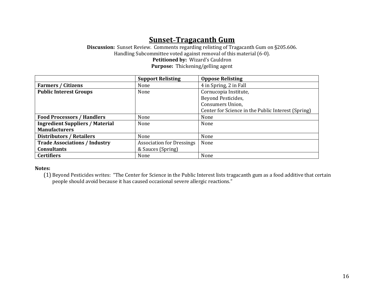## **Sunset–Tragacanth Gum**

**Discussion:** Sunset Review. Comments regarding relisting of Tragacanth Gum on §205.606. Handling Subcommittee voted against removal of this material (6-0). **Petitioned by:** Wizard's Cauldron **Purpose:** Thickening/gelling agent

|                                        | <b>Support Relisting</b>         | <b>Oppose Relisting</b>                            |
|----------------------------------------|----------------------------------|----------------------------------------------------|
| <b>Farmers / Citizens</b>              | None                             | 4 in Spring, 2 in Fall                             |
| <b>Public Interest Groups</b>          | None                             | Cornucopia Institute,                              |
|                                        |                                  | Beyond Pesticides,                                 |
|                                        |                                  | Consumers Union,                                   |
|                                        |                                  | Center for Science in the Public Interest (Spring) |
| <b>Food Processors / Handlers</b>      | None                             | None                                               |
| <b>Ingredient Suppliers / Material</b> | None                             | None                                               |
| <b>Manufacturers</b>                   |                                  |                                                    |
| <b>Distributors / Retailers</b>        | None                             | None                                               |
| <b>Trade Associations / Industry</b>   | <b>Association for Dressings</b> | None                                               |
| <b>Consultants</b>                     | & Sauces (Spring)                |                                                    |
| <b>Certifiers</b>                      | None                             | None                                               |

#### **Notes:**

(1) Beyond Pesticides writes: "The Center for Science in the Public Interest lists tragacanth gum as a food additive that certain people should avoid because it has caused occasional severe allergic reactions."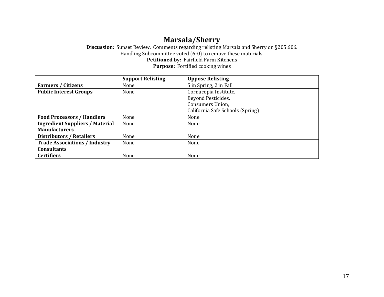# **Marsala/Sherry**

**Discussion:** Sunset Review. Comments regarding relisting Marsala and Sherry on §205.606. Handling Subcommittee voted (6-0) to remove these materials. **Petitioned by:** Fairfield Farm Kitchens **Purpose:** Fortified cooking wines

|                                        | <b>Support Relisting</b> | <b>Oppose Relisting</b>          |
|----------------------------------------|--------------------------|----------------------------------|
| <b>Farmers / Citizens</b>              | None                     | 5 in Spring, 2 in Fall           |
| <b>Public Interest Groups</b>          | None                     | Cornucopia Institute,            |
|                                        |                          | Beyond Pesticides,               |
|                                        |                          | <b>Consumers Union,</b>          |
|                                        |                          | California Safe Schools (Spring) |
| <b>Food Processors / Handlers</b>      | None                     | None                             |
| <b>Ingredient Suppliers / Material</b> | None                     | None                             |
| <b>Manufacturers</b>                   |                          |                                  |
| <b>Distributors / Retailers</b>        | None                     | None                             |
| <b>Trade Associations / Industry</b>   | None                     | None                             |
| <b>Consultants</b>                     |                          |                                  |
| <b>Certifiers</b>                      | None                     | None                             |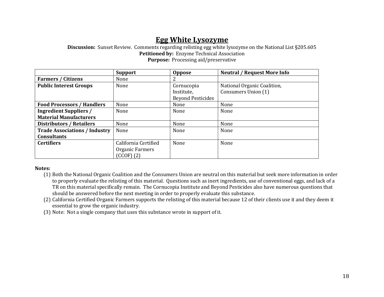### **Egg White Lysozyme**

**Discussion:** Sunset Review. Comments regarding relisting egg white lysozyme on the National List §205.605 **Petitioned by:** Enzyme Technical Association **Purpose:** Processing aid/preservative

|                                      | <b>Support</b>       | <b>Oppose</b>            | <b>Neutral / Request More Info</b> |
|--------------------------------------|----------------------|--------------------------|------------------------------------|
| <b>Farmers / Citizens</b>            | None                 |                          |                                    |
| <b>Public Interest Groups</b>        | None                 | Cornucopia               | National Organic Coalition,        |
|                                      |                      | Institute,               | Consumers Union (1)                |
|                                      |                      | <b>Beyond Pesticides</b> |                                    |
| <b>Food Processors / Handlers</b>    | None                 | None                     | None                               |
| <b>Ingredient Suppliers /</b>        | None                 | None                     | None                               |
| <b>Material Manufacturers</b>        |                      |                          |                                    |
| <b>Distributors / Retailers</b>      | None                 | None                     | None                               |
| <b>Trade Associations / Industry</b> | None                 | None                     | None                               |
| <b>Consultants</b>                   |                      |                          |                                    |
| <b>Certifiers</b>                    | California Certified | None                     | None                               |
|                                      | Organic Farmers      |                          |                                    |
|                                      | $(CCOF)$ (2)         |                          |                                    |

- (1) Both the National Organic Coalition and the Consumers Union are neutral on this material but seek more information in order to properly evaluate the relisting of this material. Questions such as inert ingredients, use of conventional eggs, and lack of a TR on this material specifically remain. The Cornucopia Institute and Beyond Pesticides also have numerous questions that should be answered before the next meeting in order to properly evaluate this substance.
- (2) California Certified Organic Farmers supports the relisting of this material because 12 of their clients use it and they deem it essential to grow the organic industry.
- (3) Note: Not a single company that uses this substance wrote in support of it.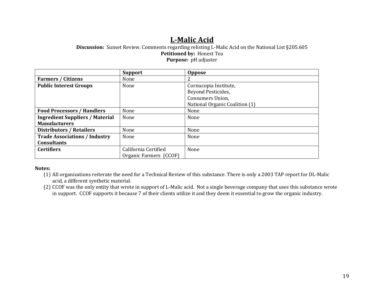# **L-Malic Acid**

**Discussion:** Sunset Review. Comments regarding relisting L-Malic Acid on the National List §205.605 **Petitioned by:** Honest Tea **Purpose:** pH adjuster

|                                        | <b>Support</b>         | <b>Oppose</b>                  |
|----------------------------------------|------------------------|--------------------------------|
| <b>Farmers / Citizens</b>              | None                   |                                |
| <b>Public Interest Groups</b>          | None                   | Cornucopia Institute,          |
|                                        |                        | Beyond Pesticides,             |
|                                        |                        | Consumers Union,               |
|                                        |                        | National Organic Coalition (1) |
| <b>Food Processors / Handlers</b>      | None                   | None                           |
| <b>Ingredient Suppliers / Material</b> | None                   | None                           |
| <b>Manufacturers</b>                   |                        |                                |
| <b>Distributors / Retailers</b>        | None                   | None                           |
| <b>Trade Associations / Industry</b>   | None                   | None                           |
| <b>Consultants</b>                     |                        |                                |
| <b>Certifiers</b>                      | California Certified   | None                           |
|                                        | Organic Farmers (CCOF) |                                |

#### **Notes:**

(1) All organizations reiterate the need for a Technical Review of this substance. There is only a 2003 TAP report for DL-Malic acid, a different synthetic material.

(2) CCOF was the only entity that wrote in support of L-Malic acid. Not a single beverage company that uses this substance wrote in support. CCOF supports it because 7 of their clients utilize it and they deem it essential to grow the organic industry.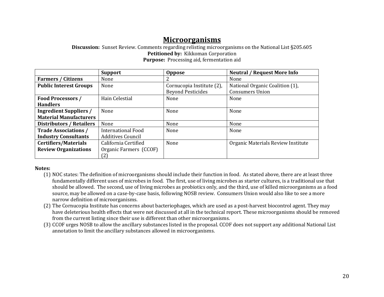### **Microorganisms**

**Discussion:** Sunset Review. Comments regarding relisting microorganisms on the National List §205.605 Petitioned by: Kikkoman Corporation **Purpose:** Processing aid, fermentation aid

|                                 | <b>Support</b>            | <b>Oppose</b>             | <b>Neutral / Request More Info</b> |
|---------------------------------|---------------------------|---------------------------|------------------------------------|
| <b>Farmers / Citizens</b>       | None                      |                           | None                               |
| <b>Public Interest Groups</b>   | None                      | Cornucopia Institute (2), | National Organic Coalition (1),    |
|                                 |                           | <b>Beyond Pesticides</b>  | <b>Consumers Union</b>             |
| Food Processors /               | Hain Celestial            | None                      | None                               |
| <b>Handlers</b>                 |                           |                           |                                    |
| <b>Ingredient Suppliers /</b>   | None                      | None                      | None                               |
| <b>Material Manufacturers</b>   |                           |                           |                                    |
| <b>Distributors / Retailers</b> | None                      | None                      | None                               |
| <b>Trade Associations /</b>     | <b>International Food</b> | None                      | None                               |
| <b>Industry Consultants</b>     | <b>Additives Council</b>  |                           |                                    |
| <b>Certifiers/Materials</b>     | California Certified      | None                      | Organic Materials Review Institute |
| <b>Review Organizations</b>     | Organic Farmers (CCOF)    |                           |                                    |
|                                 | (2)                       |                           |                                    |

- (1) NOC states: The definition of microorganisms should include their function in food. As stated above, there are at least three fundamentally different uses of microbes in food. The first, use of living microbes as starter cultures, is a traditional use that should be allowed. The second, use of living microbes as probiotics only, and the third, use of killed microorganisms as a food source, may be allowed on a case-by-case basis, following NOSB review. Consumers Union would also like to see a more narrow definition of microorganisms.
- (2) The Cornucopia Institute has concerns about bacteriophages, which are used as a post-harvest biocontrol agent. They may have deleterious health effects that were not discussed at all in the technical report. These microorganisms should be removed from the current listing since their use is different than other microorganisms.
- (3) CCOF urges NOSB to allow the ancillary substances listed in the proposal. CCOF does not support any additional National List annotation to limit the ancillary substances allowed in microorganisms.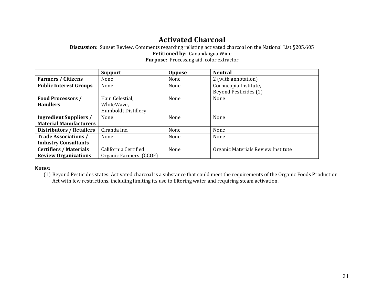## **Activated Charcoal**

**Discussion:** Sunset Review. Comments regarding relisting activated charcoal on the National List §205.605 **Petitioned by:** Canandaigua Wine **Purpose:** Processing aid, color extractor

|                                 | <b>Support</b>             | <b>Oppose</b> | <b>Neutral</b>                     |
|---------------------------------|----------------------------|---------------|------------------------------------|
| <b>Farmers / Citizens</b>       | None                       | None          | 2 (with annotation)                |
| <b>Public Interest Groups</b>   | None                       | None          | Cornucopia Institute,              |
|                                 |                            |               | <b>Beyond Pesticides (1)</b>       |
| Food Processors /               | Hain Celestial,            | None          | None                               |
| <b>Handlers</b>                 | WhiteWave,                 |               |                                    |
|                                 | <b>Humboldt Distillery</b> |               |                                    |
| <b>Ingredient Suppliers /</b>   | None                       | None          | None                               |
| <b>Material Manufacturers</b>   |                            |               |                                    |
| <b>Distributors / Retailers</b> | Ciranda Inc.               | None          | None                               |
| <b>Trade Associations /</b>     | None                       | None          | None                               |
| <b>Industry Consultants</b>     |                            |               |                                    |
| <b>Certifiers / Materials</b>   | California Certified       | None          | Organic Materials Review Institute |
| <b>Review Organizations</b>     | Organic Farmers (CCOF)     |               |                                    |

#### **Notes:**

(1) Beyond Pesticides states: Activated charcoal is a substance that could meet the requirements of the Organic Foods Production Act with few restrictions, including limiting its use to filtering water and requiring steam activation.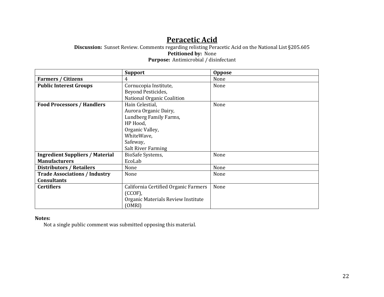# **Peracetic Acid**

**Discussion:** Sunset Review. Comments regarding relisting Peracetic Acid on the National List §205.605 **Petitioned by:** None **Purpose:** Antimicrobial / disinfectant

|                                        | <b>Support</b>                       | <b>Oppose</b> |
|----------------------------------------|--------------------------------------|---------------|
| <b>Farmers / Citizens</b>              | 4                                    | None          |
| <b>Public Interest Groups</b>          | Cornucopia Institute,                | None          |
|                                        | Beyond Pesticides,                   |               |
|                                        | National Organic Coalition           |               |
| <b>Food Processors / Handlers</b>      | Hain Celestial,                      | None          |
|                                        | Aurora Organic Dairy,                |               |
|                                        | Lundberg Family Farms,               |               |
|                                        | HP Hood,                             |               |
|                                        | Organic Valley,                      |               |
|                                        | WhiteWave,                           |               |
|                                        | Safeway,                             |               |
|                                        | <b>Salt River Farming</b>            |               |
| <b>Ingredient Suppliers / Material</b> | BioSafe Systems,                     | None          |
| <b>Manufacturers</b>                   | EcoLab                               |               |
| <b>Distributors / Retailers</b>        | None                                 | None          |
| <b>Trade Associations / Industry</b>   | None                                 | None          |
| <b>Consultants</b>                     |                                      |               |
| <b>Certifiers</b>                      | California Certified Organic Farmers | None          |
|                                        | $(CCOF)$ ,                           |               |
|                                        | Organic Materials Review Institute   |               |
|                                        | (OMRI)                               |               |

#### **Notes:**

Not a single public comment was submitted opposing this material.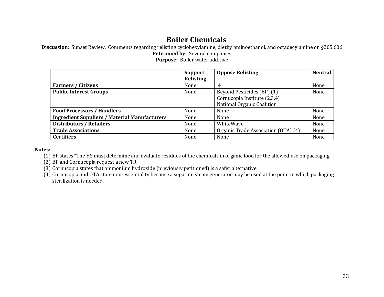# **Boiler Chemicals**

**Discussion:** Sunset Review. Comments regarding relisting cyclohexylamine, diethylaminoethanol, and octadecylamine on §205.606 **Petitioned by:** Several companies **Purpose:** Boiler water additive

|                                                      | Support   | <b>Oppose Relisting</b>             | <b>Neutral</b> |
|------------------------------------------------------|-----------|-------------------------------------|----------------|
|                                                      | Relisting |                                     |                |
| <b>Farmers / Citizens</b>                            | None      | 4                                   | None           |
| <b>Public Interest Groups</b>                        | None      | Beyond Pesticides (BP) (1)          | None           |
|                                                      |           | Cornucopia Institute (2,3,4)        |                |
|                                                      |           | National Organic Coalition          |                |
| <b>Food Processors / Handlers</b>                    | None      | None                                | None           |
| <b>Ingredient Suppliers / Material Manufacturers</b> | None      | None                                | None           |
| <b>Distributors / Retailers</b>                      | None      | WhiteWave                           | None           |
| <b>Trade Associations</b>                            | None      | Organic Trade Association (OTA) (4) | None           |
| <b>Certifiers</b>                                    | None      | None                                | None           |

#### **Notes:**

(1) BP states "The HS must determine and evaluate residues of the chemicals in organic food for the allowed use on packaging."

(2) BP and Cornucopia request a new TR.

(3) Cornucopia states that ammonium hydroxide (previously petitioned) is a safer alternative.

(4) Cornucopia and OTA state non-essentiality because a separate steam generator may be used at the point in which packaging sterilization is needed.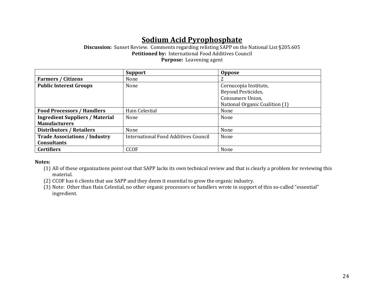# **Sodium Acid Pyrophosphate**

**Discussion:** Sunset Review. Comments regarding relisting SAPP on the National List §205.605 **Petitioned by:** International Food Additives Council **Purpose:** Leavening agent

|                                        | <b>Support</b>                       | <b>Oppose</b>                  |
|----------------------------------------|--------------------------------------|--------------------------------|
| <b>Farmers / Citizens</b>              | None                                 |                                |
| <b>Public Interest Groups</b>          | None                                 | Cornucopia Institute,          |
|                                        |                                      | Beyond Pesticides,             |
|                                        |                                      | <b>Consumers Union,</b>        |
|                                        |                                      | National Organic Coalition (1) |
| <b>Food Processors / Handlers</b>      | Hain Celestial                       | None                           |
| <b>Ingredient Suppliers / Material</b> | None                                 | None                           |
| <b>Manufacturers</b>                   |                                      |                                |
| <b>Distributors / Retailers</b>        | None                                 | None                           |
| <b>Trade Associations / Industry</b>   | International Food Additives Council | None                           |
| <b>Consultants</b>                     |                                      |                                |
| <b>Certifiers</b>                      | <b>CCOF</b>                          | None                           |

- (1) All of these organizations point out that SAPP lacks its own technical review and that is clearly a problem for reviewing this material.
- (2) CCOF has 6 clients that use SAPP and they deem it essential to grow the organic industry.
- (3) Note: Other than Hain Celestial, no other organic processors or handlers wrote in support of this so-called "essential" ingredient.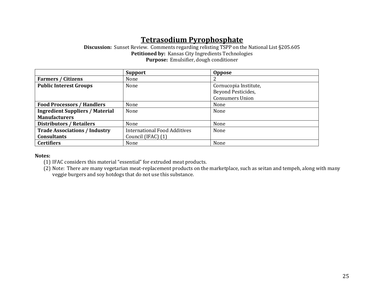# **Tetrasodium Pyrophosphate**

**Discussion:** Sunset Review. Comments regarding relisting TSPP on the National List §205.605 **Petitioned by:** Kansas City Ingredients Technologies **Purpose:** Emulsifier, dough conditioner

|                                        | <b>Support</b>                      | Oppose                 |
|----------------------------------------|-------------------------------------|------------------------|
| <b>Farmers / Citizens</b>              | None                                |                        |
| <b>Public Interest Groups</b>          | None                                | Cornucopia Institute,  |
|                                        |                                     | Beyond Pesticides,     |
|                                        |                                     | <b>Consumers Union</b> |
| <b>Food Processors / Handlers</b>      | None                                | None                   |
| <b>Ingredient Suppliers / Material</b> | None                                | None                   |
| <b>Manufacturers</b>                   |                                     |                        |
| <b>Distributors / Retailers</b>        | None                                | None                   |
| <b>Trade Associations / Industry</b>   | <b>International Food Additives</b> | None                   |
| <b>Consultants</b>                     | Council (IFAC) (1)                  |                        |
| <b>Certifiers</b>                      | None                                | None                   |

**Notes:**

(1) IFAC considers this material "essential" for extruded meat products.

(2) Note: There are many vegetarian meat-replacement products on the marketplace, such as seitan and tempeh, along with many veggie burgers and soy hotdogs that do not use this substance.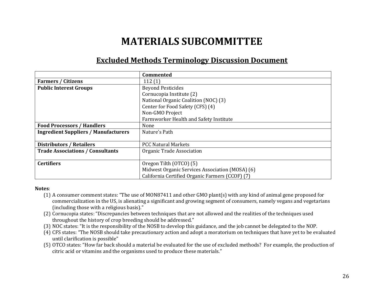# **MATERIALS SUBCOMMITTEE**

### **Excluded Methods Terminology Discussion Document**

|                                             | <b>Commented</b>                                |
|---------------------------------------------|-------------------------------------------------|
| <b>Farmers / Citizens</b>                   | 112(1)                                          |
| <b>Public Interest Groups</b>               | <b>Beyond Pesticides</b>                        |
|                                             | Cornucopia Institute (2)                        |
|                                             | National Organic Coalition (NOC) (3)            |
|                                             | Center for Food Safety (CFS) (4)                |
|                                             | Non-GMO Project                                 |
|                                             | Farmworker Health and Safety Institute          |
| <b>Food Processors / Handlers</b>           | None                                            |
| <b>Ingredient Suppliers / Manufacturers</b> | Nature's Path                                   |
|                                             |                                                 |
| <b>Distributors / Retailers</b>             | <b>PCC Natural Markets</b>                      |
| <b>Trade Associations / Consultants</b>     | Organic Trade Association                       |
|                                             |                                                 |
| <b>Certifiers</b>                           | Oregon Tilth (OTCO) (5)                         |
|                                             | Midwest Organic Services Association (MOSA) (6) |
|                                             | California Certified Organic Farmers (CCOF) (7) |

- (1) A consumer comment states: "The use of MON87411 and other GMO plant(s) with any kind of animal gene proposed for commercialization in the US, is alienating a significant and growing segment of consumers, namely vegans and vegetarians (including those with a religious basis)."
- (2) Cornucopia states: "Discrepancies between techniques that are not allowed and the realities of the techniques used throughout the history of crop breeding should be addressed."
- (3) NOC states: "It is the responsibility of the NOSB to develop this guidance, and the job cannot be delegated to the NOP.
- (4) CFS states: "The NOSB should take precautionary action and adopt a moratorium on techniques that have yet to be evaluated until clarification is possible"
- (5) OTCO states: "How far back should a material be evaluated for the use of excluded methods? For example, the production of citric acid or vitamins and the organisms used to produce these materials."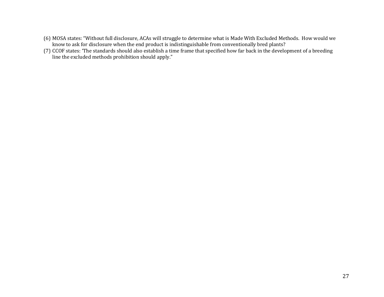- (6) MOSA states: "Without full disclosure, ACAs will struggle to determine what is Made With Excluded Methods. How would we know to ask for disclosure when the end product is indistinguishable from conventionally bred plants?
- (7) CCOF states: 'The standards should also establish a time frame that specified how far back in the development of a breeding line the excluded methods prohibition should apply."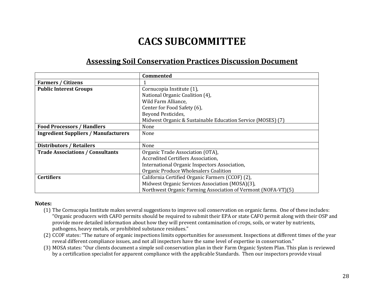# **CACS SUBCOMMITTEE**

# **Assessing Soil Conservation Practices Discussion Document**

|                                             | <b>Commented</b>                                              |
|---------------------------------------------|---------------------------------------------------------------|
| <b>Farmers / Citizens</b>                   |                                                               |
| <b>Public Interest Groups</b>               | Cornucopia Institute (1),                                     |
|                                             | National Organic Coalition (4),                               |
|                                             | Wild Farm Alliance,                                           |
|                                             | Center for Food Safety (6),                                   |
|                                             | Beyond Pesticides,                                            |
|                                             | Midwest Organic & Sustainable Education Service (MOSES) (7)   |
| <b>Food Processors / Handlers</b>           | None                                                          |
| <b>Ingredient Suppliers / Manufacturers</b> | None                                                          |
|                                             |                                                               |
| <b>Distributors / Retailers</b>             | None                                                          |
| <b>Trade Associations / Consultants</b>     | Organic Trade Association (OTA),                              |
|                                             | Accredited Certifiers Association.                            |
|                                             | International Organic Inspectors Association,                 |
|                                             | Organic Produce Wholesalers Coalition                         |
| <b>Certifiers</b>                           | California Certified Organic Farmers (CCOF) (2),              |
|                                             | Midwest Organic Services Association (MOSA)(3),               |
|                                             | Northwest Organic Farming Association of Vermont (NOFA-VT)(5) |

- (1) The Cornucopia Institute makes several suggestions to improve soil conservation on organic farms. One of these includes: "Organic producers with CAFO permits should be required to submit their EPA or state CAFO permit along with their OSP and provide more detailed information about how they will prevent contamination of crops, soils, or water by nutrients, pathogens, heavy metals, or prohibited substance residues."
- (2) CCOF states: "The nature of organic inspections limits opportunities for assessment. Inspections at different times of the year reveal different compliance issues, and not all inspectors have the same level of expertise in conservation."
- (3) MOSA states: "Our clients document a simple soil conservation plan in their Farm Organic System Plan. This plan is reviewed by a certification specialist for apparent compliance with the applicable Standards. Then our inspectors provide visual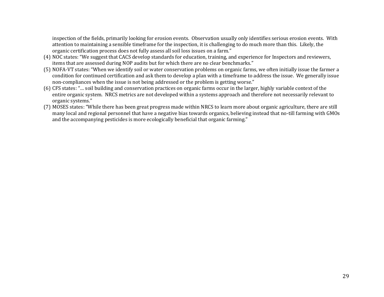inspection of the fields, primarily looking for erosion events. Observation usually only identifies serious erosion events. With attention to maintaining a sensible timeframe for the inspection, it is challenging to do much more than this. Likely, the organic certification process does not fully assess all soil loss issues on a farm."

- (4) NOC states: "We suggest that CACS develop standards for education, training, and experience for Inspectors and reviewers, items that are assessed during NOP audits but for which there are no clear benchmarks."
- (5) NOFA-VT states: "When we identify soil or water conservation problems on organic farms, we often initially issue the farmer a condition for continued certification and ask them to develop a plan with a timeframe to address the issue. We generally issue non-compliances when the issue is not being addressed or the problem is getting worse."
- (6) CFS states: "… soil building and conservation practices on organic farms occur in the larger, highly variable context of the entire organic system. NRCS metrics are not developed within a systems approach and therefore not necessarily relevant to organic systems."
- (7) MOSES states: "While there has been great progress made within NRCS to learn more about organic agriculture, there are still many local and regional personnel that have a negative bias towards organics, believing instead that no-till farming with GMOs and the accompanying pesticides is more ecologically beneficial that organic farming."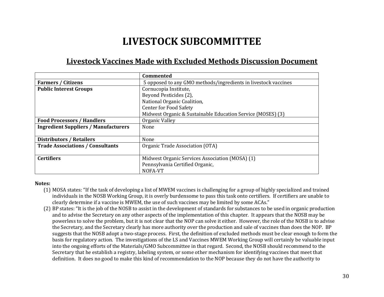# **LIVESTOCK SUBCOMMITTEE**

## **Livestock Vaccines Made with Excluded Methods Discussion Document**

|                                             | <b>Commented</b>                                               |
|---------------------------------------------|----------------------------------------------------------------|
| <b>Farmers / Citizens</b>                   | 5 opposed to any GMO methods/ingredients in livestock vaccines |
| <b>Public Interest Groups</b>               | Cornucopia Institute,                                          |
|                                             | Beyond Pesticides (2),                                         |
|                                             | National Organic Coalition,                                    |
|                                             | <b>Center for Food Safety</b>                                  |
|                                             | Midwest Organic & Sustainable Education Service (MOSES) (3)    |
| <b>Food Processors / Handlers</b>           | Organic Valley                                                 |
| <b>Ingredient Suppliers / Manufacturers</b> | None                                                           |
|                                             |                                                                |
| <b>Distributors / Retailers</b>             | None                                                           |
| <b>Trade Associations / Consultants</b>     | Organic Trade Association (OTA)                                |
|                                             |                                                                |
| <b>Certifiers</b>                           | Midwest Organic Services Association (MOSA) (1)                |
|                                             | Pennsylvania Certified Organic,                                |
|                                             | NOFA-VT                                                        |

- (1) MOSA states: "If the task of developing a list of MWEM vaccines is challenging for a group of highly specialized and trained individuals in the NOSB Working Group, it is overly burdensome to pass this task onto certifiers. If certifiers are unable to clearly determine if a vaccine is MWEM, the use of such vaccines may be limited by some ACAs."
- (2) BP states: "It is the job of the NOSB to assist in the development of standards for substances to be used in organic production and to advise the Secretary on any other aspects of the implementation of this chapter. It appears that the NOSB may be powerless to solve the problem, but it is not clear that the NOP can solve it either. However, the role of the NOSB is to advise the Secretary, and the Secretary clearly has more authority over the production and sale of vaccines than does the NOP. BP suggests that the NOSB adopt a two-stage process. First, the definition of excluded methods must be clear enough to form the basis for regulatory action. The investigations of the LS and Vaccines MWEM Working Group will certainly be valuable input into the ongoing efforts of the Materials/GMO Subcommittee in that regard. Second, the NOSB should recommend to the Secretary that he establish a registry, labeling system, or some other mechanism for identifying vaccines that meet that definition. It does no good to make this kind of recommendation to the NOP because they do not have the authority to